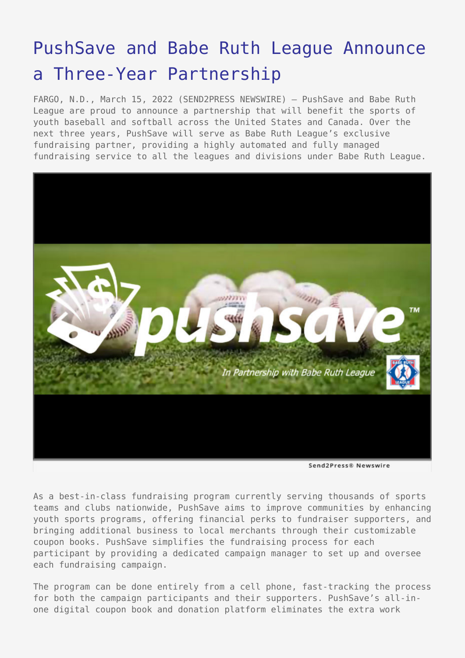## [PushSave and Babe Ruth League Announce](https://www.send2press.com/wire/pushsave-and-babe-ruth-league-announce-a-three-year-partnership/) [a Three-Year Partnership](https://www.send2press.com/wire/pushsave-and-babe-ruth-league-announce-a-three-year-partnership/)

FARGO, N.D., March 15, 2022 (SEND2PRESS NEWSWIRE) — PushSave and Babe Ruth League are proud to announce a partnership that will benefit the sports of youth baseball and softball across the United States and Canada. Over the next three years, PushSave will serve as Babe Ruth League's exclusive fundraising partner, providing a highly automated and fully managed fundraising service to all the leagues and divisions under Babe Ruth League.



Send2Press® Newswire

As a best-in-class fundraising program currently serving thousands of sports teams and clubs nationwide, PushSave aims to improve communities by enhancing youth sports programs, offering financial perks to fundraiser supporters, and bringing additional business to local merchants through their customizable coupon books. PushSave simplifies the fundraising process for each participant by providing a dedicated campaign manager to set up and oversee each fundraising campaign.

The program can be done entirely from a cell phone, fast-tracking the process for both the campaign participants and their supporters. PushSave's all-inone digital coupon book and donation platform eliminates the extra work